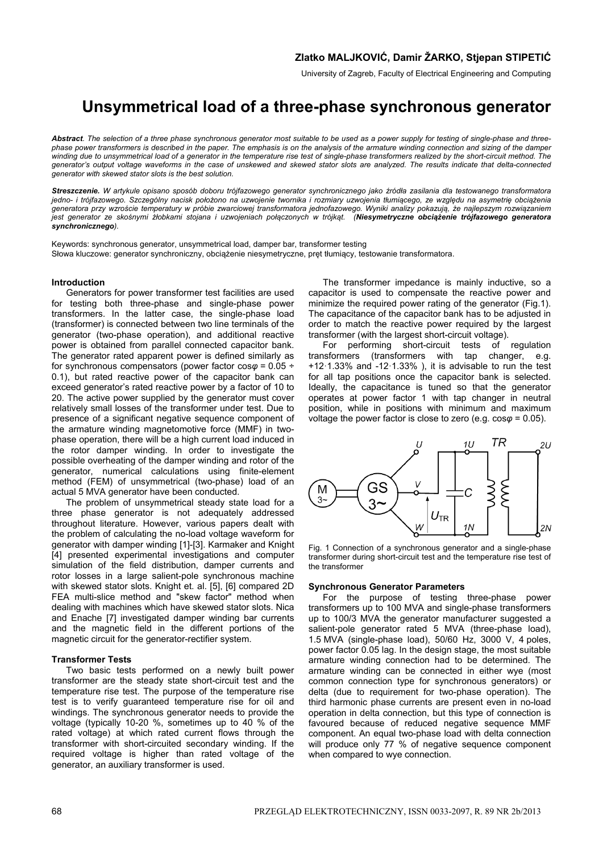University of Zagreb, Faculty of Electrical Engineering and Computing

# **Unsymmetrical load of a three-phase synchronous generator**

*Abstract. The selection of a three phase synchronous generator most suitable to be used as a power supply for testing of single-phase and threephase power transformers is described in the paper. The emphasis is on the analysis of the armature winding connection and sizing of the damper winding due to unsymmetrical load of a generator in the temperature rise test of single-phase transformers realized by the short-circuit method. The generator's output voltage waveforms in the case of unskewed and skewed stator slots are analyzed. The results indicate that delta-connected generator with skewed stator slots is the best solution.* 

*Streszczenie. W artykule opisano sposób doboru trójfazowego generator synchronicznego jako źródła zasilania dla testowanego transformatora*  jedno- i trójfazowego. Szczególny nacisk położono na uzwojenie twornika i rozmiary uzwojenia tłumiącego, ze względu na asymetrię obciążenia *generatora przy wzroście temperatury w próbie zwarciowej transformatora jednofazowego. Wyniki analizy pokazują, że najlepszym rozwiązaniem jest generator ze skośnymi żłobkami stojana i uzwojeniach połączonych w trójkąt. (Niesymetryczne obciążenie trójfazowego generatora synchronicznego).* 

Keywords: synchronous generator, unsymmetrical load, damper bar, transformer testing Słowa kluczowe: generator synchroniczny, obciążenie niesymetryczne, pręt tłumiący, testowanie transformatora.

## **Introduction**

Generators for power transformer test facilities are used for testing both three-phase and single-phase power transformers. In the latter case, the single-phase load (transformer) is connected between two line terminals of the generator (two-phase operation), and additional reactive power is obtained from parallel connected capacitor bank. The generator rated apparent power is defined similarly as for synchronous compensators (power factor cos*φ* = 0.05 ÷ 0.1), but rated reactive power of the capacitor bank can exceed generator's rated reactive power by a factor of 10 to 20. The active power supplied by the generator must cover relatively small losses of the transformer under test. Due to presence of a significant negative sequence component of the armature winding magnetomotive force (MMF) in twophase operation, there will be a high current load induced in the rotor damper winding. In order to investigate the possible overheating of the damper winding and rotor of the generator, numerical calculations using finite-element method (FEM) of unsymmetrical (two-phase) load of an actual 5 MVA generator have been conducted.

The problem of unsymmetrical steady state load for a three phase generator is not adequately addressed throughout literature. However, various papers dealt with the problem of calculating the no-load voltage waveform for generator with damper winding [1]-[3]. Karmaker and Knight [4] presented experimental investigations and computer simulation of the field distribution, damper currents and rotor losses in a large salient-pole synchronous machine with skewed stator slots. Knight et. al. [5], [6] compared 2D FEA multi-slice method and "skew factor" method when dealing with machines which have skewed stator slots. Nica and Enache [7] investigated damper winding bar currents and the magnetic field in the different portions of the magnetic circuit for the generator-rectifier system.

#### **Transformer Tests**

Two basic tests performed on a newly built power transformer are the steady state short-circuit test and the temperature rise test. The purpose of the temperature rise test is to verify guaranteed temperature rise for oil and windings. The synchronous generator needs to provide the voltage (typically 10-20 %, sometimes up to 40 % of the rated voltage) at which rated current flows through the transformer with short-circuited secondary winding. If the required voltage is higher than rated voltage of the generator, an auxiliary transformer is used.

The transformer impedance is mainly inductive, so a capacitor is used to compensate the reactive power and minimize the required power rating of the generator (Fig.1). The capacitance of the capacitor bank has to be adjusted in order to match the reactive power required by the largest transformer (with the largest short-circuit voltage).

For performing short-circuit tests of regulation transformers (transformers with tap changer, e.g. +12·1.33% and -12·1.33% ), it is advisable to run the test for all tap positions once the capacitor bank is selected. Ideally, the capacitance is tuned so that the generator operates at power factor 1 with tap changer in neutral position, while in positions with minimum and maximum voltage the power factor is close to zero (e.g. cos*φ* = 0.05).



Fig. 1 Connection of a synchronous generator and a single-phase transformer during short-circuit test and the temperature rise test of the transformer

### **Synchronous Generator Parameters**

For the purpose of testing three-phase power transformers up to 100 MVA and single-phase transformers up to 100/3 MVA the generator manufacturer suggested a salient-pole generator rated 5 MVA (three-phase load). 1.5 MVA (single-phase load), 50/60 Hz, 3000 V, 4 poles, power factor 0.05 lag. In the design stage, the most suitable armature winding connection had to be determined. The armature winding can be connected in either wye (most common connection type for synchronous generators) or delta (due to requirement for two-phase operation). The third harmonic phase currents are present even in no-load operation in delta connection, but this type of connection is favoured because of reduced negative sequence MMF component. An equal two-phase load with delta connection will produce only 77 % of negative sequence component when compared to wye connection.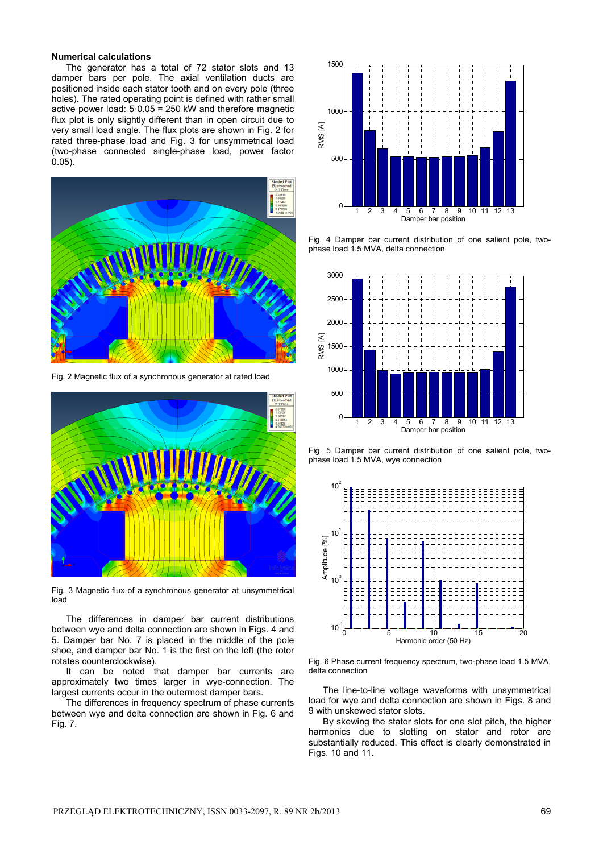### **Numerical calculations**

The generator has a total of 72 stator slots and 13 damper bars per pole. The axial ventilation ducts are positioned inside each stator tooth and on every pole (three holes). The rated operating point is defined with rather small active power load: 5·0.05 = 250 kW and therefore magnetic flux plot is only slightly different than in open circuit due to very small load angle. The flux plots are shown in Fig. 2 for rated three-phase load and Fig. 3 for unsymmetrical load (two-phase connected single-phase load, power factor 0.05).



Fig. 2 Magnetic flux of a synchronous generator at rated load



Fig. 3 Magnetic flux of a synchronous generator at unsymmetrical load

 The differences in damper bar current distributions between wye and delta connection are shown in Figs. 4 and 5. Damper bar No. 7 is placed in the middle of the pole shoe, and damper bar No. 1 is the first on the left (the rotor rotates counterclockwise).

It can be noted that damper bar currents are approximately two times larger in wye-connection. The largest currents occur in the outermost damper bars.

The differences in frequency spectrum of phase currents between wye and delta connection are shown in Fig. 6 and Fig. 7.



Fig. 4 Damper bar current distribution of one salient pole, twophase load 1.5 MVA, delta connection



Fig. 5 Damper bar current distribution of one salient pole, twophase load 1.5 MVA, wye connection



Fig. 6 Phase current frequency spectrum, two-phase load 1.5 MVA, delta connection

The line-to-line voltage waveforms with unsymmetrical load for wye and delta connection are shown in Figs. 8 and 9 with unskewed stator slots.

By skewing the stator slots for one slot pitch, the higher harmonics due to slotting on stator and rotor are substantially reduced. This effect is clearly demonstrated in Figs. 10 and 11.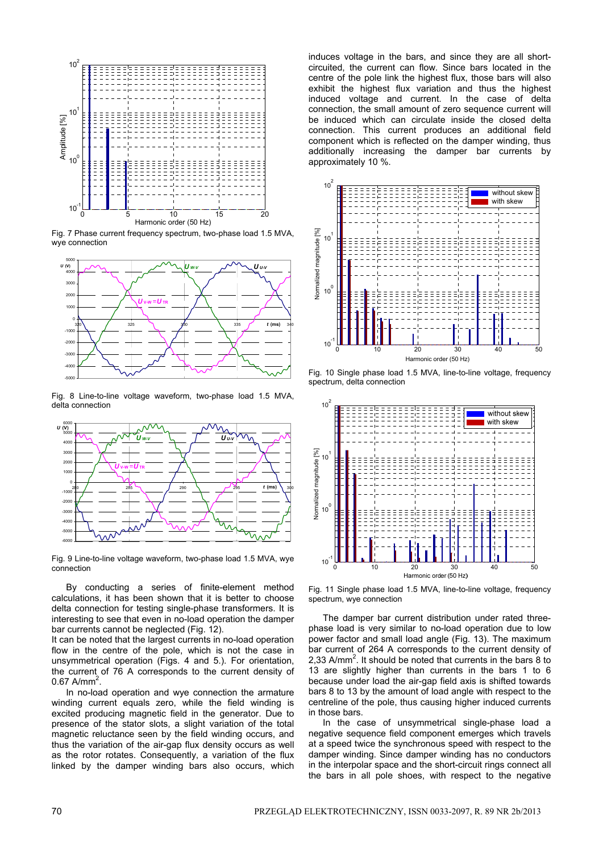

Fig. 7 Phase current frequency spectrum, two-phase load 1.5 MVA, wye connection



Fig. 8 Line-to-line voltage waveform, two-phase load 1.5 MVA, delta connection



Fig. 9 Line-to-line voltage waveform, two-phase load 1.5 MVA, wye connection

 By conducting a series of finite-element method calculations, it has been shown that it is better to choose delta connection for testing single-phase transformers. It is interesting to see that even in no-load operation the damper bar currents cannot be neglected (Fig. 12).

It can be noted that the largest currents in no-load operation flow in the centre of the pole, which is not the case in unsymmetrical operation (Figs. 4 and 5.). For orientation, the current of 76 A corresponds to the current density of  $0.67$  A/mm<sup>2</sup>.

 In no-load operation and wye connection the armature winding current equals zero, while the field winding is excited producing magnetic field in the generator. Due to presence of the stator slots, a slight variation of the total magnetic reluctance seen by the field winding occurs, and thus the variation of the air-gap flux density occurs as well as the rotor rotates. Consequently, a variation of the flux linked by the damper winding bars also occurs, which

induces voltage in the bars, and since they are all shortcircuited, the current can flow. Since bars located in the centre of the pole link the highest flux, those bars will also exhibit the highest flux variation and thus the highest induced voltage and current. In the case of delta connection, the small amount of zero sequence current will be induced which can circulate inside the closed delta connection. This current produces an additional field component which is reflected on the damper winding, thus additionally increasing the damper bar currents by approximately 10 %.



Fig. 10 Single phase load 1.5 MVA, line-to-line voltage, frequency spectrum, delta connection



Fig. 11 Single phase load 1.5 MVA, line-to-line voltage, frequency spectrum, wye connection

 The damper bar current distribution under rated threephase load is very similar to no-load operation due to low power factor and small load angle (Fig. 13). The maximum bar current of 264 A corresponds to the current density of 2,33 A/mm<sup>2</sup>. It should be noted that currents in the bars  $\overline{8}$  to 13 are slightly higher than currents in the bars 1 to 6 because under load the air-gap field axis is shifted towards bars 8 to 13 by the amount of load angle with respect to the centreline of the pole, thus causing higher induced currents in those bars.

 In the case of unsymmetrical single-phase load a negative sequence field component emerges which travels at a speed twice the synchronous speed with respect to the damper winding. Since damper winding has no conductors in the interpolar space and the short-circuit rings connect all the bars in all pole shoes, with respect to the negative